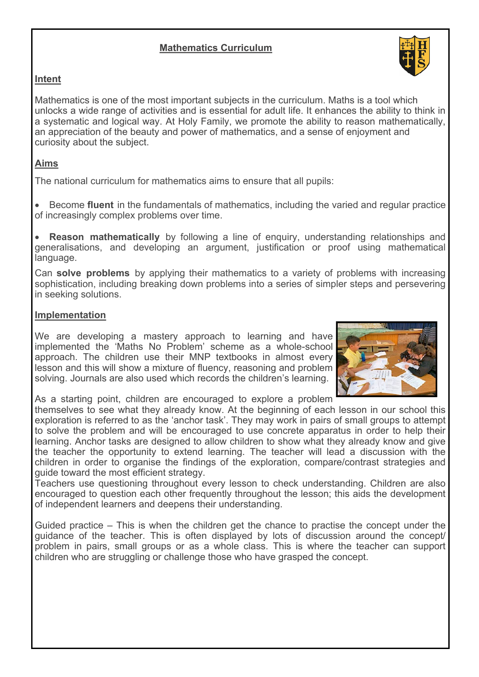# **Mathematics Curriculum**



# **Intent**

Mathematics is one of the most important subjects in the curriculum. Maths is a tool which unlocks a wide range of activities and is essential for adult life. It enhances the ability to think in a systematic and logical way. At Holy Family, we promote the ability to reason mathematically, an appreciation of the beauty and power of mathematics, and a sense of enjoyment and curiosity about the subject.

### **Aims**

The national curriculum for mathematics aims to ensure that all pupils:

• Become **fluent** in the fundamentals of mathematics, including the varied and regular practice of increasingly complex problems over time.

**Reason mathematically** by following a line of enquiry, understanding relationships and generalisations, and developing an argument, justification or proof using mathematical language.

Can **solve problems** by applying their mathematics to a variety of problems with increasing sophistication, including breaking down problems into a series of simpler steps and persevering in seeking solutions.

#### **Implementation**

We are developing a mastery approach to learning and have implemented the 'Maths No Problem' scheme as a whole-school approach. The children use their MNP textbooks in almost every lesson and this will show a mixture of fluency, reasoning and problem solving. Journals are also used which records the children's learning.



As a starting point, children are encouraged to explore a problem

themselves to see what they already know. At the beginning of each lesson in our school this exploration is referred to as the 'anchor task'. They may work in pairs of small groups to attempt to solve the problem and will be encouraged to use concrete apparatus in order to help their learning. Anchor tasks are designed to allow children to show what they already know and give the teacher the opportunity to extend learning. The teacher will lead a discussion with the children in order to organise the findings of the exploration, compare/contrast strategies and guide toward the most efficient strategy.

Teachers use questioning throughout every lesson to check understanding. Children are also encouraged to question each other frequently throughout the lesson; this aids the development of independent learners and deepens their understanding.

Guided practice – This is when the children get the chance to practise the concept under the guidance of the teacher. This is often displayed by lots of discussion around the concept/ problem in pairs, small groups or as a whole class. This is where the teacher can support children who are struggling or challenge those who have grasped the concept.